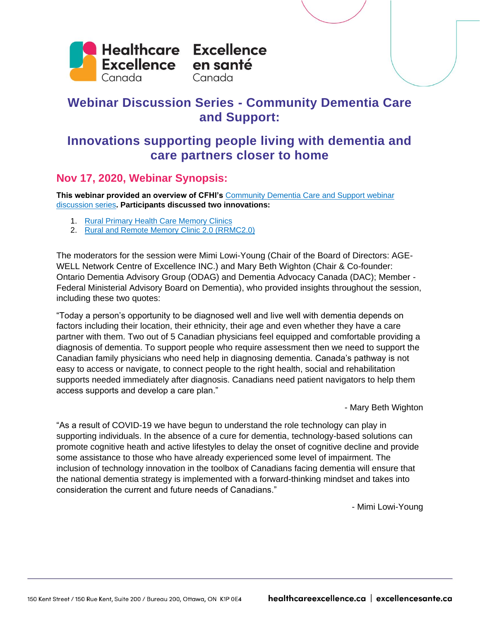

# **Webinar Discussion Series - Community Dementia Care and Support:**

# **Innovations supporting people living with dementia and care partners closer to home**

## **Nov 17, 2020, Webinar Synopsis:**

**This webinar provided an overview of CFHI's** [Community Dementia Care and Support webinar](https://www.cfhi-fcass.ca/opportunities/webinars/community-dementia-care-and-support)  [discussion series](https://www.cfhi-fcass.ca/opportunities/webinars/community-dementia-care-and-support)**. Participants discussed two innovations:**

- 1. [Rural Primary Health Care Memory Clinics](https://cchsa-ccssma.usask.ca/ruraldementiacare/PHC_Clinics.php)
- 2. [Rural and Remote Memory Clinic 2.0 \(RRMC2.0\)](https://cchsa-ccssma.usask.ca/ruraldementiacare/news-articles/2020_oconnell-shrf-funding.php)

The moderators for the session were Mimi Lowi-Young (Chair of the Board of Directors: AGE-WELL Network Centre of Excellence INC.) and Mary Beth Wighton (Chair & Co-founder: Ontario Dementia Advisory Group (ODAG) and Dementia Advocacy Canada (DAC); Member - Federal Ministerial Advisory Board on Dementia), who provided insights throughout the session, including these two quotes:

"Today a person's opportunity to be diagnosed well and live well with dementia depends on factors including their location, their ethnicity, their age and even whether they have a care partner with them. Two out of 5 Canadian physicians feel equipped and comfortable providing a diagnosis of dementia. To support people who require assessment then we need to support the Canadian family physicians who need help in diagnosing dementia. Canada's pathway is not easy to access or navigate, to connect people to the right health, social and rehabilitation supports needed immediately after diagnosis. Canadians need patient navigators to help them access supports and develop a care plan."

- Mary Beth Wighton

"As a result of COVID-19 we have begun to understand the role technology can play in supporting individuals. In the absence of a cure for dementia, technology-based solutions can promote cognitive heath and active lifestyles to delay the onset of cognitive decline and provide some assistance to those who have already experienced some level of impairment. The inclusion of technology innovation in the toolbox of Canadians facing dementia will ensure that the national dementia strategy is implemented with a forward-thinking mindset and takes into consideration the current and future needs of Canadians."

- Mimi Lowi-Young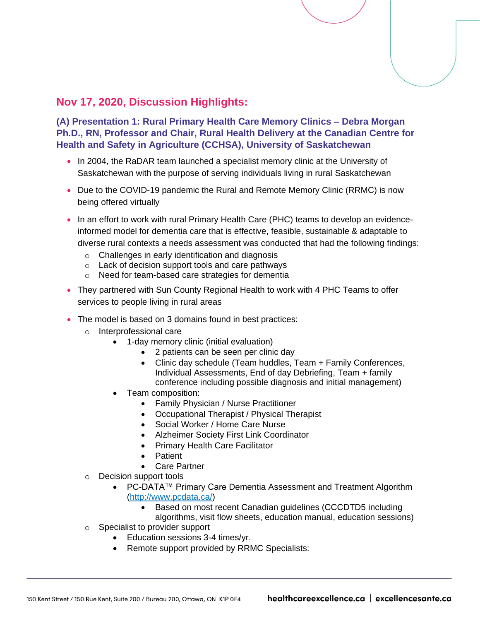## **Nov 17, 2020, Discussion Highlights:**

**(A) Presentation 1: Rural Primary Health Care Memory Clinics – Debra Morgan Ph.D., RN, Professor and Chair, Rural Health Delivery at the Canadian Centre for Health and Safety in Agriculture (CCHSA), University of Saskatchewan**

- In 2004, the RaDAR team launched a specialist memory clinic at the University of Saskatchewan with the purpose of serving individuals living in rural Saskatchewan
- Due to the COVID-19 pandemic the Rural and Remote Memory Clinic (RRMC) is now being offered virtually
- In an effort to work with rural Primary Health Care (PHC) teams to develop an evidenceinformed model for dementia care that is effective, feasible, sustainable & adaptable to diverse rural contexts a needs assessment was conducted that had the following findings:
	- o Challenges in early identification and diagnosis
	- o Lack of decision support tools and care pathways
	- o Need for team-based care strategies for dementia
- They partnered with Sun County Regional Health to work with 4 PHC Teams to offer services to people living in rural areas
- The model is based on 3 domains found in best practices:
	- o Interprofessional care
		- 1-day memory clinic (initial evaluation)
			- 2 patients can be seen per clinic day
			- Clinic day schedule (Team huddles, Team + Family Conferences, Individual Assessments, End of day Debriefing, Team + family conference including possible diagnosis and initial management)
		- Team composition:
			- Family Physician / Nurse Practitioner
			- Occupational Therapist / Physical Therapist
			- Social Worker / Home Care Nurse
			- Alzheimer Society First Link Coordinator
			- Primary Health Care Facilitator
			- Patient
			- Care Partner
	- o Decision support tools
		- PC-DATA™ Primary Care Dementia Assessment and Treatment Algorithm [\(http://www.pcdata.ca/\)](http://www.pcdata.ca/)
			- Based on most recent Canadian guidelines (CCCDTD5 including

algorithms, visit flow sheets, education manual, education sessions)

- o Specialist to provider support
	- Education sessions 3-4 times/yr.
	- Remote support provided by RRMC Specialists: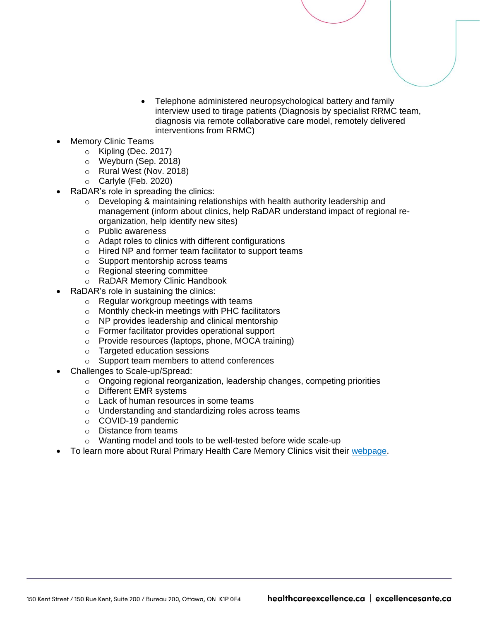- Telephone administered neuropsychological battery and family interview used to tirage patients (Diagnosis by specialist RRMC team, diagnosis via remote collaborative care model, remotely delivered interventions from RRMC)
- Memory Clinic Teams
	- o Kipling (Dec. 2017)
	- o Weyburn (Sep. 2018)
	- o Rural West (Nov. 2018)
	- o Carlyle (Feb. 2020)
- RaDAR's role in spreading the clinics:
	- o Developing & maintaining relationships with health authority leadership and management (inform about clinics, help RaDAR understand impact of regional reorganization, help identify new sites)
	- o Public awareness
	- o Adapt roles to clinics with different configurations
	- o Hired NP and former team facilitator to support teams
	- o Support mentorship across teams
	- o Regional steering committee
	- o RaDAR Memory Clinic Handbook
- RaDAR's role in sustaining the clinics:
	- o Regular workgroup meetings with teams
	- o Monthly check-in meetings with PHC facilitators
	- o NP provides leadership and clinical mentorship
	- o Former facilitator provides operational support
	- o Provide resources (laptops, phone, MOCA training)
	- o Targeted education sessions
	- o Support team members to attend conferences
- Challenges to Scale-up/Spread:
	- $\circ$  Ongoing regional reorganization, leadership changes, competing priorities
	- o Different EMR systems
	- o Lack of human resources in some teams
	- o Understanding and standardizing roles across teams
	- o COVID-19 pandemic
	- o Distance from teams
	- o Wanting model and tools to be well-tested before wide scale-up
- To learn more about Rural Primary Health Care Memory Clinics visit their [webpage.](https://cchsa-ccssma.usask.ca/ruraldementiacare/PHC_Clinics.php)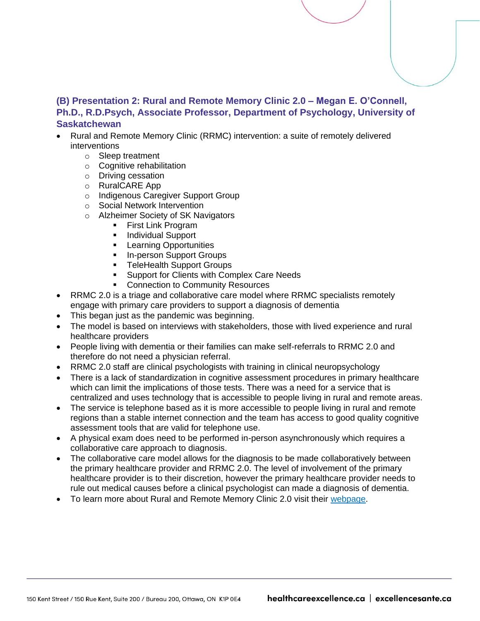### **(B) Presentation 2: Rural and Remote Memory Clinic 2.0 – Megan E. O'Connell, Ph.D., R.D.Psych, Associate Professor, Department of Psychology, University of Saskatchewan**

- Rural and Remote Memory Clinic (RRMC) intervention: a suite of remotely delivered interventions
	- o Sleep treatment
	- o Cognitive rehabilitation
	- o Driving cessation
	- o RuralCARE App
	- o Indigenous Caregiver Support Group
	- o Social Network Intervention
	- o Alzheimer Society of SK Navigators
		- **Exercise Link Program**
		- Individual Support
		- **EXEC** Learning Opportunities
		- In-person Support Groups
		- **TeleHealth Support Groups**
		- **EXECUTE:** Support for Clients with Complex Care Needs
		- **Connection to Community Resources**
- RRMC 2.0 is a triage and collaborative care model where RRMC specialists remotely engage with primary care providers to support a diagnosis of dementia
- This began just as the pandemic was beginning.
- The model is based on interviews with stakeholders, those with lived experience and rural healthcare providers
- People living with dementia or their families can make self-referrals to RRMC 2.0 and therefore do not need a physician referral.
- RRMC 2.0 staff are clinical psychologists with training in clinical neuropsychology
- There is a lack of standardization in cognitive assessment procedures in primary healthcare which can limit the implications of those tests. There was a need for a service that is centralized and uses technology that is accessible to people living in rural and remote areas.
- The service is telephone based as it is more accessible to people living in rural and remote regions than a stable internet connection and the team has access to good quality cognitive assessment tools that are valid for telephone use.
- A physical exam does need to be performed in-person asynchronously which requires a collaborative care approach to diagnosis.
- The collaborative care model allows for the diagnosis to be made collaboratively between the primary healthcare provider and RRMC 2.0. The level of involvement of the primary healthcare provider is to their discretion, however the primary healthcare provider needs to rule out medical causes before a clinical psychologist can made a diagnosis of dementia.
- To learn more about Rural and Remote Memory Clinic 2.0 visit their [webpage.](https://cchsa-ccssma.usask.ca/ruraldementiacare/news-articles/2020_oconnell-shrf-funding.php)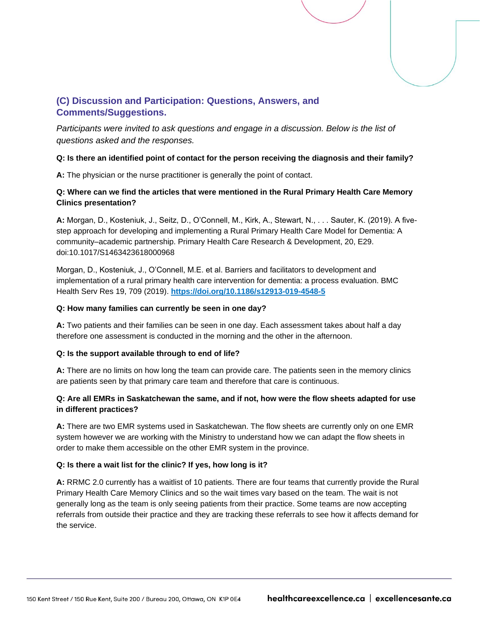### **(C) Discussion and Participation: Questions, Answers, and Comments/Suggestions.**

Participants were invited to ask questions and engage in a discussion. Below is the list of *questions asked and the responses.*

#### **Q: Is there an identified point of contact for the person receiving the diagnosis and their family?**

**A:** The physician or the nurse practitioner is generally the point of contact.

#### **Q: Where can we find the articles that were mentioned in the Rural Primary Health Care Memory Clinics presentation?**

**A:** Morgan, D., Kosteniuk, J., Seitz, D., O'Connell, M., Kirk, A., Stewart, N., . . . Sauter, K. (2019). A fivestep approach for developing and implementing a Rural Primary Health Care Model for Dementia: A community–academic partnership. Primary Health Care Research & Development, 20, E29. doi:10.1017/S1463423618000968

Morgan, D., Kosteniuk, J., O'Connell, M.E. et al. Barriers and facilitators to development and implementation of a rural primary health care intervention for dementia: a process evaluation. BMC Health Serv Res 19, 709 (2019). **<https://doi.org/10.1186/s12913-019-4548-5>**

#### **Q: How many families can currently be seen in one day?**

**A:** Two patients and their families can be seen in one day. Each assessment takes about half a day therefore one assessment is conducted in the morning and the other in the afternoon.

#### **Q: Is the support available through to end of life?**

**A:** There are no limits on how long the team can provide care. The patients seen in the memory clinics are patients seen by that primary care team and therefore that care is continuous.

#### **Q: Are all EMRs in Saskatchewan the same, and if not, how were the flow sheets adapted for use in different practices?**

**A:** There are two EMR systems used in Saskatchewan. The flow sheets are currently only on one EMR system however we are working with the Ministry to understand how we can adapt the flow sheets in order to make them accessible on the other EMR system in the province.

#### **Q: Is there a wait list for the clinic? If yes, how long is it?**

**A:** RRMC 2.0 currently has a waitlist of 10 patients. There are four teams that currently provide the Rural Primary Health Care Memory Clinics and so the wait times vary based on the team. The wait is not generally long as the team is only seeing patients from their practice. Some teams are now accepting referrals from outside their practice and they are tracking these referrals to see how it affects demand for the service.